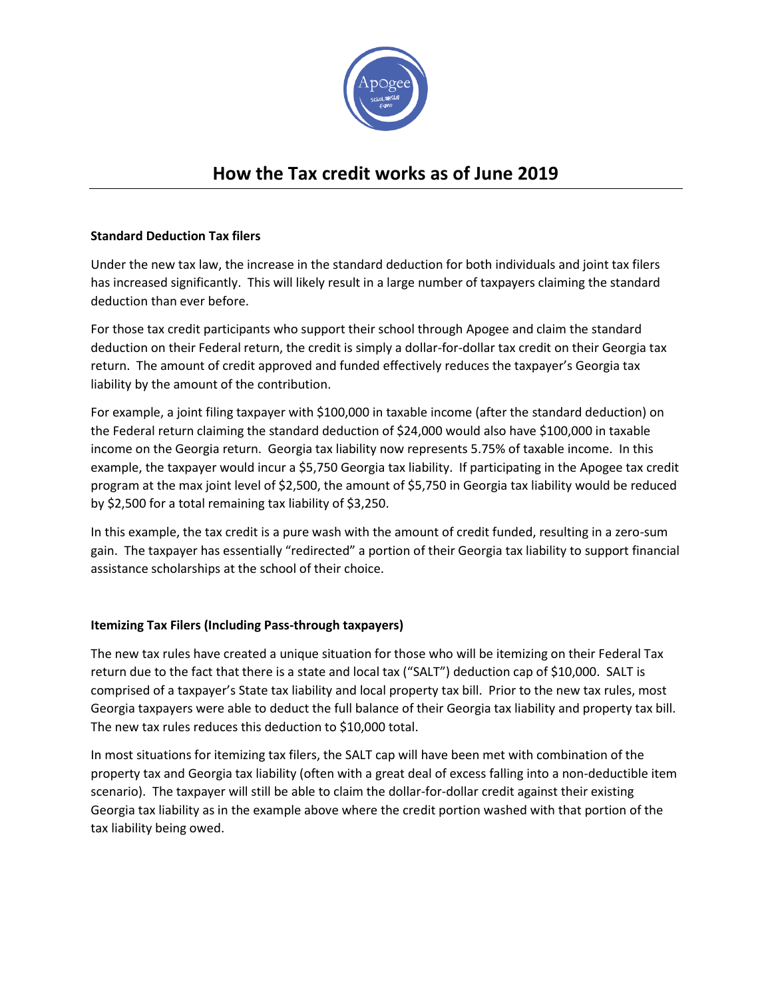

## **How the Tax credit works as of June 2019**

## **Standard Deduction Tax filers**

Under the new tax law, the increase in the standard deduction for both individuals and joint tax filers has increased significantly. This will likely result in a large number of taxpayers claiming the standard deduction than ever before.

For those tax credit participants who support their school through Apogee and claim the standard deduction on their Federal return, the credit is simply a dollar-for-dollar tax credit on their Georgia tax return. The amount of credit approved and funded effectively reduces the taxpayer's Georgia tax liability by the amount of the contribution.

For example, a joint filing taxpayer with \$100,000 in taxable income (after the standard deduction) on the Federal return claiming the standard deduction of \$24,000 would also have \$100,000 in taxable income on the Georgia return. Georgia tax liability now represents 5.75% of taxable income. In this example, the taxpayer would incur a \$5,750 Georgia tax liability. If participating in the Apogee tax credit program at the max joint level of \$2,500, the amount of \$5,750 in Georgia tax liability would be reduced by \$2,500 for a total remaining tax liability of \$3,250.

In this example, the tax credit is a pure wash with the amount of credit funded, resulting in a zero-sum gain. The taxpayer has essentially "redirected" a portion of their Georgia tax liability to support financial assistance scholarships at the school of their choice.

## **Itemizing Tax Filers (Including Pass-through taxpayers)**

The new tax rules have created a unique situation for those who will be itemizing on their Federal Tax return due to the fact that there is a state and local tax ("SALT") deduction cap of \$10,000. SALT is comprised of a taxpayer's State tax liability and local property tax bill. Prior to the new tax rules, most Georgia taxpayers were able to deduct the full balance of their Georgia tax liability and property tax bill. The new tax rules reduces this deduction to \$10,000 total.

In most situations for itemizing tax filers, the SALT cap will have been met with combination of the property tax and Georgia tax liability (often with a great deal of excess falling into a non-deductible item scenario). The taxpayer will still be able to claim the dollar-for-dollar credit against their existing Georgia tax liability as in the example above where the credit portion washed with that portion of the tax liability being owed.